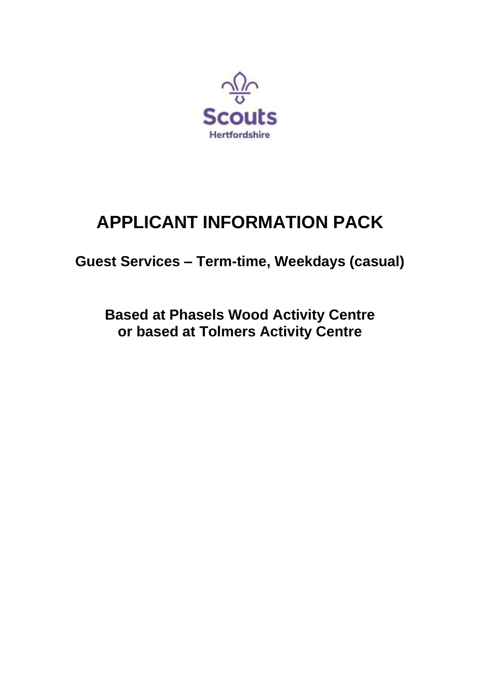

# **APPLICANT INFORMATION PACK**

**Guest Services – Term-time, Weekdays (casual)**

**Based at Phasels Wood Activity Centre or based at Tolmers Activity Centre**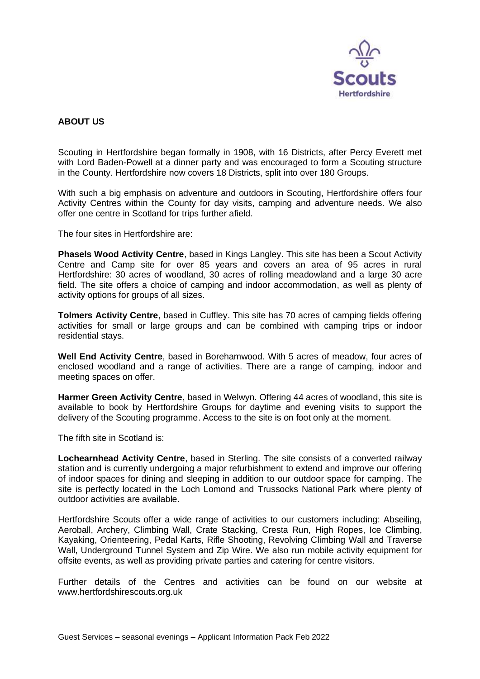

# **ABOUT US**

Scouting in Hertfordshire began formally in 1908, with 16 Districts, after Percy Everett met with Lord Baden-Powell at a dinner party and was encouraged to form a Scouting structure in the County. Hertfordshire now covers 18 Districts, split into over 180 Groups.

With such a big emphasis on adventure and outdoors in Scouting, Hertfordshire offers four Activity Centres within the County for day visits, camping and adventure needs. We also offer one centre in Scotland for trips further afield.

The four sites in Hertfordshire are:

**Phasels Wood Activity Centre**, based in Kings Langley. This site has been a Scout Activity Centre and Camp site for over 85 years and covers an area of 95 acres in rural Hertfordshire: 30 acres of woodland, 30 acres of rolling meadowland and a large 30 acre field. The site offers a choice of camping and indoor accommodation, as well as plenty of activity options for groups of all sizes.

**Tolmers Activity Centre**, based in Cuffley. This site has 70 acres of camping fields offering activities for small or large groups and can be combined with camping trips or indoor residential stays.

**Well End Activity Centre**, based in Borehamwood. With 5 acres of meadow, four acres of enclosed woodland and a range of activities. There are a range of camping, indoor and meeting spaces on offer.

**Harmer Green Activity Centre**, based in Welwyn. Offering 44 acres of woodland, this site is available to book by Hertfordshire Groups for daytime and evening visits to support the delivery of the Scouting programme. Access to the site is on foot only at the moment.

The fifth site in Scotland is:

**Lochearnhead Activity Centre**, based in Sterling. The site consists of a converted railway station and is currently undergoing a major refurbishment to extend and improve our offering of indoor spaces for dining and sleeping in addition to our outdoor space for camping. The site is perfectly located in the Loch Lomond and Trussocks National Park where plenty of outdoor activities are available.

Hertfordshire Scouts offer a wide range of activities to our customers including: Abseiling, Aeroball, Archery, Climbing Wall, Crate Stacking, Cresta Run, High Ropes, Ice Climbing, Kayaking, Orienteering, Pedal Karts, Rifle Shooting, Revolving Climbing Wall and Traverse Wall, Underground Tunnel System and Zip Wire. We also run mobile activity equipment for offsite events, as well as providing private parties and catering for centre visitors.

Further details of the Centres and activities can be found on our website at www.hertfordshirescouts.org.uk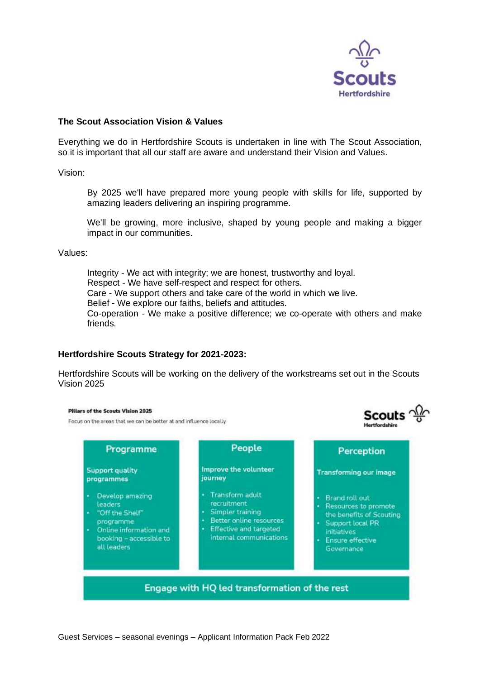

Scouts  $\frac{\Delta L}{\Delta t}$ 

**Hertfordshir** 

# **The Scout Association Vision & Values**

Everything we do in Hertfordshire Scouts is undertaken in line with The Scout Association, so it is important that all our staff are aware and understand their Vision and Values.

Vision:

By 2025 we'll have prepared more young people with skills for life, supported by amazing leaders delivering an inspiring programme.

We'll be growing, more inclusive, shaped by young people and making a bigger impact in our communities.

Values:

Integrity - We act with integrity; we are honest, trustworthy and loyal. Respect - We have self-respect and respect for others. Care - We support others and take care of the world in which we live. Belief - We explore our faiths, beliefs and attitudes. Co-operation - We make a positive difference; we co-operate with others and make friends.

# **Hertfordshire Scouts Strategy for 2021-2023:**

Hertfordshire Scouts will be working on the delivery of the workstreams set out in the Scouts Vision 2025

#### Pillars of the Scouts Vision 2025

Focus on the areas that we can be better at and influence locally

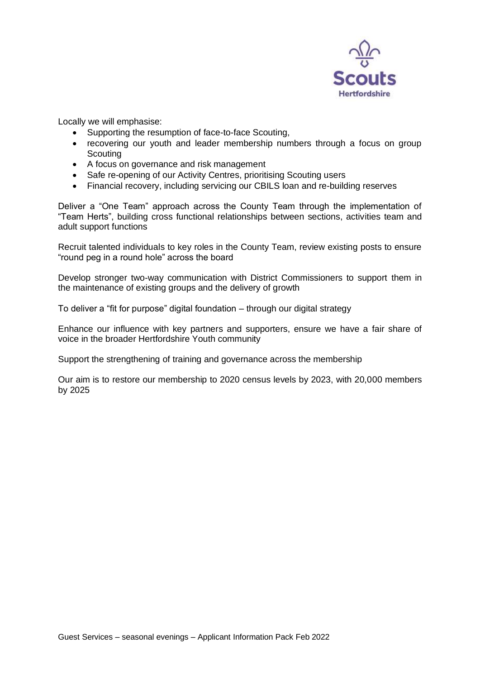

Locally we will emphasise:

- Supporting the resumption of face-to-face Scouting,
- recovering our youth and leader membership numbers through a focus on group **Scouting**
- A focus on governance and risk management
- Safe re-opening of our Activity Centres, prioritising Scouting users
- Financial recovery, including servicing our CBILS loan and re-building reserves

Deliver a "One Team" approach across the County Team through the implementation of "Team Herts", building cross functional relationships between sections, activities team and adult support functions

Recruit talented individuals to key roles in the County Team, review existing posts to ensure "round peg in a round hole" across the board

Develop stronger two-way communication with District Commissioners to support them in the maintenance of existing groups and the delivery of growth

To deliver a "fit for purpose" digital foundation – through our digital strategy

Enhance our influence with key partners and supporters, ensure we have a fair share of voice in the broader Hertfordshire Youth community

Support the strengthening of training and governance across the membership

Our aim is to restore our membership to 2020 census levels by 2023, with 20,000 members by 2025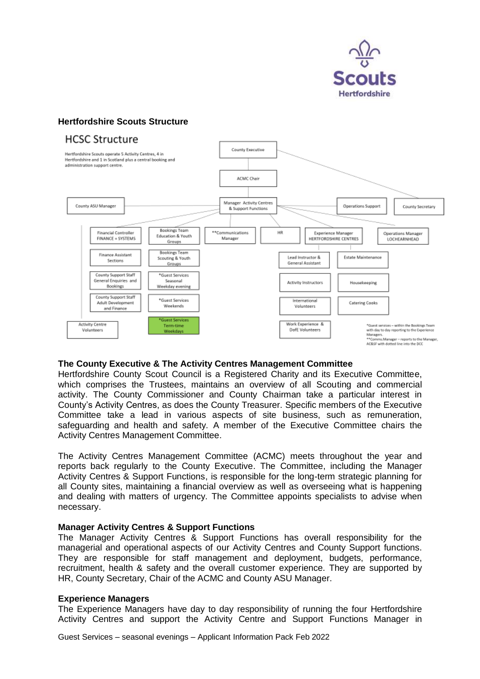

# **Hertfordshire Scouts Structure**





# **The County Executive & The Activity Centres Management Committee**

Hertfordshire County Scout Council is a Registered Charity and its Executive Committee, which comprises the Trustees, maintains an overview of all Scouting and commercial activity. The County Commissioner and County Chairman take a particular interest in County's Activity Centres, as does the County Treasurer. Specific members of the Executive Committee take a lead in various aspects of site business, such as remuneration, safeguarding and health and safety. A member of the Executive Committee chairs the Activity Centres Management Committee.

The Activity Centres Management Committee (ACMC) meets throughout the year and reports back regularly to the County Executive. The Committee, including the Manager Activity Centres & Support Functions, is responsible for the long-term strategic planning for all County sites, maintaining a financial overview as well as overseeing what is happening and dealing with matters of urgency. The Committee appoints specialists to advise when necessary.

# **Manager Activity Centres & Support Functions**

The Manager Activity Centres & Support Functions has overall responsibility for the managerial and operational aspects of our Activity Centres and County Support functions. They are responsible for staff management and deployment, budgets, performance, recruitment, health & safety and the overall customer experience. They are supported by HR, County Secretary, Chair of the ACMC and County ASU Manager.

# **Experience Managers**

The Experience Managers have day to day responsibility of running the four Hertfordshire Activity Centres and support the Activity Centre and Support Functions Manager in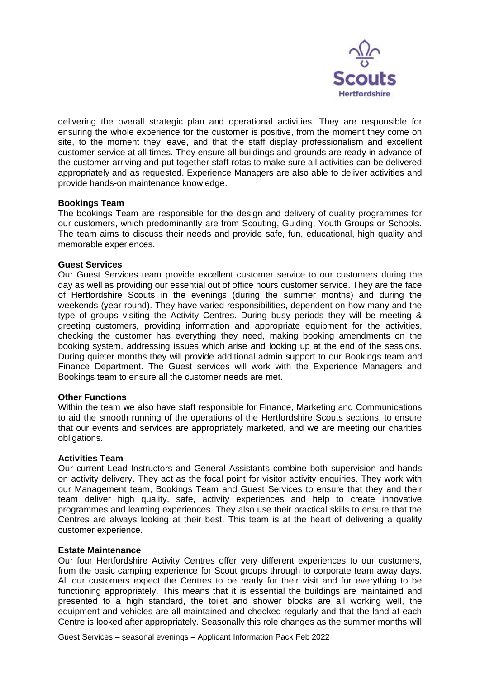

delivering the overall strategic plan and operational activities. They are responsible for ensuring the whole experience for the customer is positive, from the moment they come on site, to the moment they leave, and that the staff display professionalism and excellent customer service at all times. They ensure all buildings and grounds are ready in advance of the customer arriving and put together staff rotas to make sure all activities can be delivered appropriately and as requested. Experience Managers are also able to deliver activities and provide hands-on maintenance knowledge.

# **Bookings Team**

The bookings Team are responsible for the design and delivery of quality programmes for our customers, which predominantly are from Scouting, Guiding, Youth Groups or Schools. The team aims to discuss their needs and provide safe, fun, educational, high quality and memorable experiences.

# **Guest Services**

Our Guest Services team provide excellent customer service to our customers during the day as well as providing our essential out of office hours customer service. They are the face of Hertfordshire Scouts in the evenings (during the summer months) and during the weekends (year-round). They have varied responsibilities, dependent on how many and the type of groups visiting the Activity Centres. During busy periods they will be meeting & greeting customers, providing information and appropriate equipment for the activities, checking the customer has everything they need, making booking amendments on the booking system, addressing issues which arise and locking up at the end of the sessions. During quieter months they will provide additional admin support to our Bookings team and Finance Department. The Guest services will work with the Experience Managers and Bookings team to ensure all the customer needs are met.

# **Other Functions**

Within the team we also have staff responsible for Finance, Marketing and Communications to aid the smooth running of the operations of the Hertfordshire Scouts sections, to ensure that our events and services are appropriately marketed, and we are meeting our charities obligations.

# **Activities Team**

Our current Lead Instructors and General Assistants combine both supervision and hands on activity delivery. They act as the focal point for visitor activity enquiries. They work with our Management team, Bookings Team and Guest Services to ensure that they and their team deliver high quality, safe, activity experiences and help to create innovative programmes and learning experiences. They also use their practical skills to ensure that the Centres are always looking at their best. This team is at the heart of delivering a quality customer experience.

# **Estate Maintenance**

Our four Hertfordshire Activity Centres offer very different experiences to our customers, from the basic camping experience for Scout groups through to corporate team away days. All our customers expect the Centres to be ready for their visit and for everything to be functioning appropriately. This means that it is essential the buildings are maintained and presented to a high standard, the toilet and shower blocks are all working well, the equipment and vehicles are all maintained and checked regularly and that the land at each Centre is looked after appropriately. Seasonally this role changes as the summer months will

Guest Services – seasonal evenings – Applicant Information Pack Feb 2022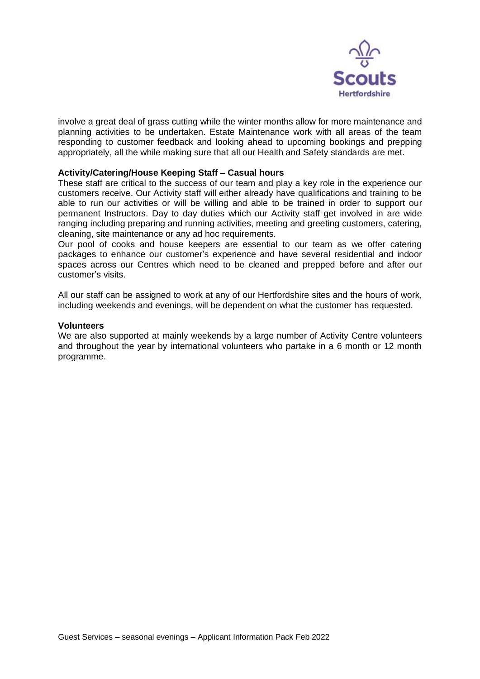

involve a great deal of grass cutting while the winter months allow for more maintenance and planning activities to be undertaken. Estate Maintenance work with all areas of the team responding to customer feedback and looking ahead to upcoming bookings and prepping appropriately, all the while making sure that all our Health and Safety standards are met.

# **Activity/Catering/House Keeping Staff – Casual hours**

These staff are critical to the success of our team and play a key role in the experience our customers receive. Our Activity staff will either already have qualifications and training to be able to run our activities or will be willing and able to be trained in order to support our permanent Instructors. Day to day duties which our Activity staff get involved in are wide ranging including preparing and running activities, meeting and greeting customers, catering, cleaning, site maintenance or any ad hoc requirements.

Our pool of cooks and house keepers are essential to our team as we offer catering packages to enhance our customer's experience and have several residential and indoor spaces across our Centres which need to be cleaned and prepped before and after our customer's visits.

All our staff can be assigned to work at any of our Hertfordshire sites and the hours of work, including weekends and evenings, will be dependent on what the customer has requested.

### **Volunteers**

We are also supported at mainly weekends by a large number of Activity Centre volunteers and throughout the year by international volunteers who partake in a 6 month or 12 month programme.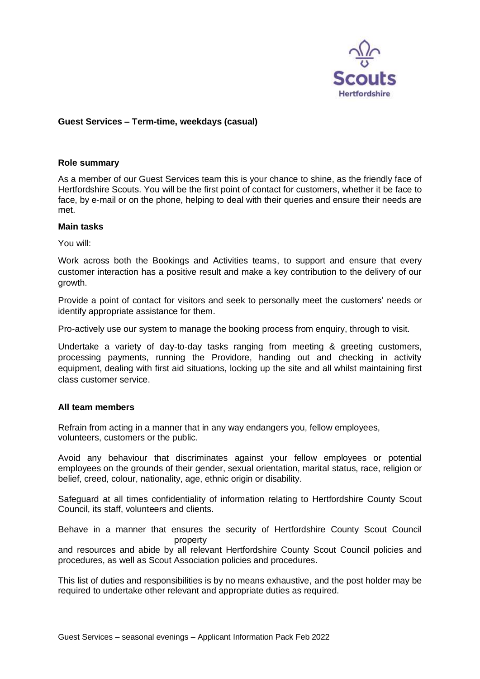

# **Guest Services – Term-time, weekdays (casual)**

# **Role summary**

As a member of our Guest Services team this is your chance to shine, as the friendly face of Hertfordshire Scouts. You will be the first point of contact for customers, whether it be face to face, by e-mail or on the phone, helping to deal with their queries and ensure their needs are met.

# **Main tasks**

You will:

Work across both the Bookings and Activities teams, to support and ensure that every customer interaction has a positive result and make a key contribution to the delivery of our growth.

Provide a point of contact for visitors and seek to personally meet the customers' needs or identify appropriate assistance for them.

Pro-actively use our system to manage the booking process from enquiry, through to visit.

Undertake a variety of day-to-day tasks ranging from meeting & greeting customers, processing payments, running the Providore, handing out and checking in activity equipment, dealing with first aid situations, locking up the site and all whilst maintaining first class customer service.

# **All team members**

Refrain from acting in a manner that in any way endangers you, fellow employees, volunteers, customers or the public.

Avoid any behaviour that discriminates against your fellow employees or potential employees on the grounds of their gender, sexual orientation, marital status, race, religion or belief, creed, colour, nationality, age, ethnic origin or disability.

Safeguard at all times confidentiality of information relating to Hertfordshire County Scout Council, its staff, volunteers and clients.

Behave in a manner that ensures the security of Hertfordshire County Scout Council property

and resources and abide by all relevant Hertfordshire County Scout Council policies and procedures, as well as Scout Association policies and procedures.

This list of duties and responsibilities is by no means exhaustive, and the post holder may be required to undertake other relevant and appropriate duties as required.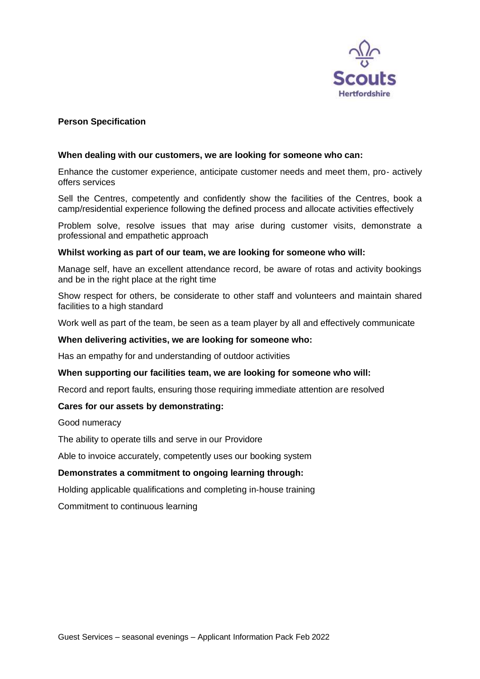

# **Person Specification**

# **When dealing with our customers, we are looking for someone who can:**

Enhance the customer experience, anticipate customer needs and meet them, pro‐ actively offers services

Sell the Centres, competently and confidently show the facilities of the Centres, book a camp/residential experience following the defined process and allocate activities effectively

Problem solve, resolve issues that may arise during customer visits, demonstrate a professional and empathetic approach

# **Whilst working as part of our team, we are looking for someone who will:**

Manage self, have an excellent attendance record, be aware of rotas and activity bookings and be in the right place at the right time

Show respect for others, be considerate to other staff and volunteers and maintain shared facilities to a high standard

Work well as part of the team, be seen as a team player by all and effectively communicate

# **When delivering activities, we are looking for someone who:**

Has an empathy for and understanding of outdoor activities

# **When supporting our facilities team, we are looking for someone who will:**

Record and report faults, ensuring those requiring immediate attention are resolved

# **Cares for our assets by demonstrating:**

Good numeracy

The ability to operate tills and serve in our Providore

Able to invoice accurately, competently uses our booking system

# **Demonstrates a commitment to ongoing learning through:**

Holding applicable qualifications and completing in‐house training

Commitment to continuous learning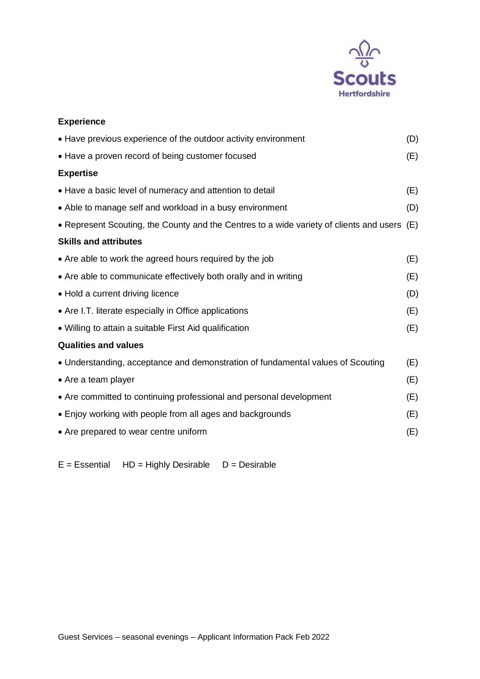

| <b>Experience</b>                                                                           |     |
|---------------------------------------------------------------------------------------------|-----|
| • Have previous experience of the outdoor activity environment                              | (D) |
| • Have a proven record of being customer focused                                            | (E) |
| <b>Expertise</b>                                                                            |     |
| • Have a basic level of numeracy and attention to detail                                    | (E) |
| • Able to manage self and workload in a busy environment                                    | (D) |
| • Represent Scouting, the County and the Centres to a wide variety of clients and users (E) |     |
| <b>Skills and attributes</b>                                                                |     |
| • Are able to work the agreed hours required by the job                                     | (E) |
| • Are able to communicate effectively both orally and in writing                            | (E) |
| • Hold a current driving licence                                                            | (D) |
| • Are I.T. literate especially in Office applications                                       | (E) |
| • Willing to attain a suitable First Aid qualification                                      | (E) |
| <b>Qualities and values</b>                                                                 |     |
| • Understanding, acceptance and demonstration of fundamental values of Scouting             | (E) |
| • Are a team player                                                                         | (E) |
| • Are committed to continuing professional and personal development                         | (E) |
| • Enjoy working with people from all ages and backgrounds                                   | (E) |
| • Are prepared to wear centre uniform                                                       | (E) |

 $E = E$ ssential HD = Highly Desirable D = Desirable